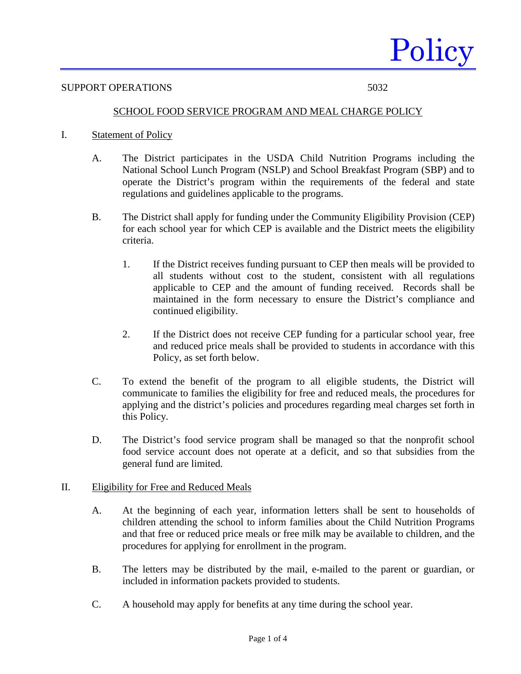

#### SUPPORT OPERATIONS 5032

# SCHOOL FOOD SERVICE PROGRAM AND MEAL CHARGE POLICY

- I. Statement of Policy
	- A. The District participates in the USDA Child Nutrition Programs including the National School Lunch Program (NSLP) and School Breakfast Program (SBP) and to operate the District's program within the requirements of the federal and state regulations and guidelines applicable to the programs.
	- B. The District shall apply for funding under the Community Eligibility Provision (CEP) for each school year for which CEP is available and the District meets the eligibility criteria.
		- 1. If the District receives funding pursuant to CEP then meals will be provided to all students without cost to the student, consistent with all regulations applicable to CEP and the amount of funding received. Records shall be maintained in the form necessary to ensure the District's compliance and continued eligibility.
		- 2. If the District does not receive CEP funding for a particular school year, free and reduced price meals shall be provided to students in accordance with this Policy, as set forth below.
	- C. To extend the benefit of the program to all eligible students, the District will communicate to families the eligibility for free and reduced meals, the procedures for applying and the district's policies and procedures regarding meal charges set forth in this Policy.
	- D. The District's food service program shall be managed so that the nonprofit school food service account does not operate at a deficit, and so that subsidies from the general fund are limited.

# II. Eligibility for Free and Reduced Meals

- A. At the beginning of each year, information letters shall be sent to households of children attending the school to inform families about the Child Nutrition Programs and that free or reduced price meals or free milk may be available to children, and the procedures for applying for enrollment in the program.
- B. The letters may be distributed by the mail, e-mailed to the parent or guardian, or included in information packets provided to students.
- C. A household may apply for benefits at any time during the school year.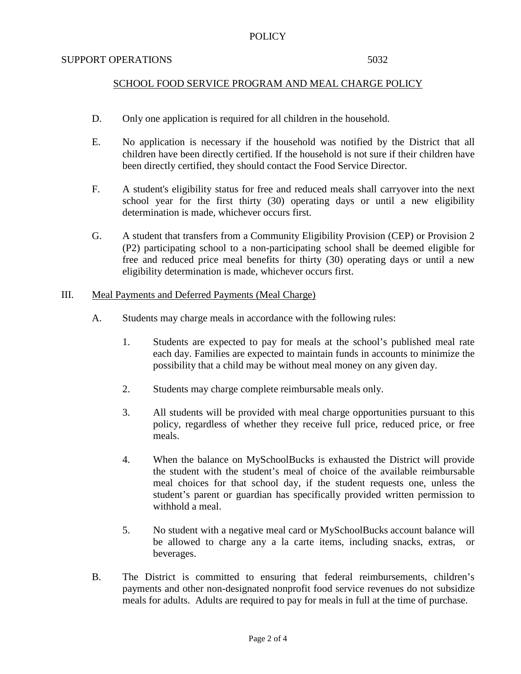# POLICY

### SUPPORT OPERATIONS 5032

# SCHOOL FOOD SERVICE PROGRAM AND MEAL CHARGE POLICY

- D. Only one application is required for all children in the household.
- E. No application is necessary if the household was notified by the District that all children have been directly certified. If the household is not sure if their children have been directly certified, they should contact the Food Service Director.
- F. A student's eligibility status for free and reduced meals shall carryover into the next school year for the first thirty (30) operating days or until a new eligibility determination is made, whichever occurs first.
- G. A student that transfers from a Community Eligibility Provision (CEP) or Provision 2 (P2) participating school to a non-participating school shall be deemed eligible for free and reduced price meal benefits for thirty (30) operating days or until a new eligibility determination is made, whichever occurs first.

# III. Meal Payments and Deferred Payments (Meal Charge)

- A. Students may charge meals in accordance with the following rules:
	- 1. Students are expected to pay for meals at the school's published meal rate each day. Families are expected to maintain funds in accounts to minimize the possibility that a child may be without meal money on any given day.
	- 2. Students may charge complete reimbursable meals only.
	- 3. All students will be provided with meal charge opportunities pursuant to this policy, regardless of whether they receive full price, reduced price, or free meals.
	- 4. When the balance on MySchoolBucks is exhausted the District will provide the student with the student's meal of choice of the available reimbursable meal choices for that school day, if the student requests one, unless the student's parent or guardian has specifically provided written permission to withhold a meal.
	- 5. No student with a negative meal card or MySchoolBucks account balance will be allowed to charge any a la carte items, including snacks, extras, or beverages.
- B. The District is committed to ensuring that federal reimbursements, children's payments and other non-designated nonprofit food service revenues do not subsidize meals for adults. Adults are required to pay for meals in full at the time of purchase.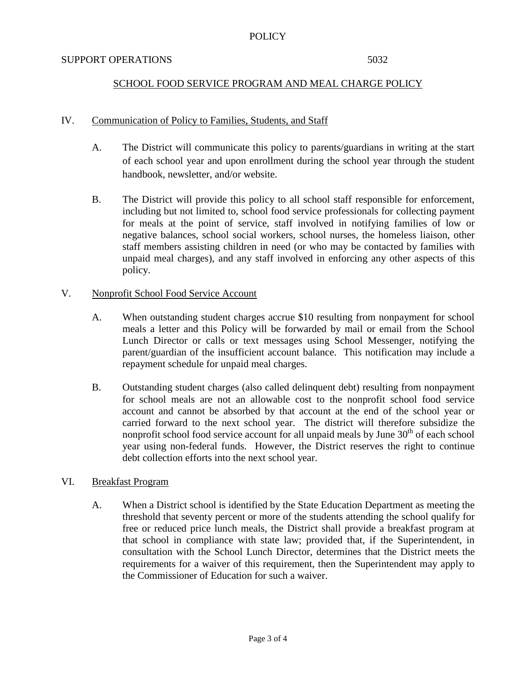# POLICY

### SUPPORT OPERATIONS 5032

# SCHOOL FOOD SERVICE PROGRAM AND MEAL CHARGE POLICY

# IV. Communication of Policy to Families, Students, and Staff

- A. The District will communicate this policy to parents/guardians in writing at the start of each school year and upon enrollment during the school year through the student handbook, newsletter, and/or website.
- B. The District will provide this policy to all school staff responsible for enforcement, including but not limited to, school food service professionals for collecting payment for meals at the point of service, staff involved in notifying families of low or negative balances, school social workers, school nurses, the homeless liaison, other staff members assisting children in need (or who may be contacted by families with unpaid meal charges), and any staff involved in enforcing any other aspects of this policy.

# V. Nonprofit School Food Service Account

- A. When outstanding student charges accrue \$10 resulting from nonpayment for school meals a letter and this Policy will be forwarded by mail or email from the School Lunch Director or calls or text messages using School Messenger, notifying the parent/guardian of the insufficient account balance. This notification may include a repayment schedule for unpaid meal charges.
- B. Outstanding student charges (also called delinquent debt) resulting from nonpayment for school meals are not an allowable cost to the nonprofit school food service account and cannot be absorbed by that account at the end of the school year or carried forward to the next school year. The district will therefore subsidize the nonprofit school food service account for all unpaid meals by June  $30<sup>th</sup>$  of each school year using non-federal funds. However, the District reserves the right to continue debt collection efforts into the next school year.

# VI. Breakfast Program

A. When a District school is identified by the State Education Department as meeting the threshold that seventy percent or more of the students attending the school qualify for free or reduced price lunch meals, the District shall provide a breakfast program at that school in compliance with state law; provided that, if the Superintendent, in consultation with the School Lunch Director, determines that the District meets the requirements for a waiver of this requirement, then the Superintendent may apply to the Commissioner of Education for such a waiver.